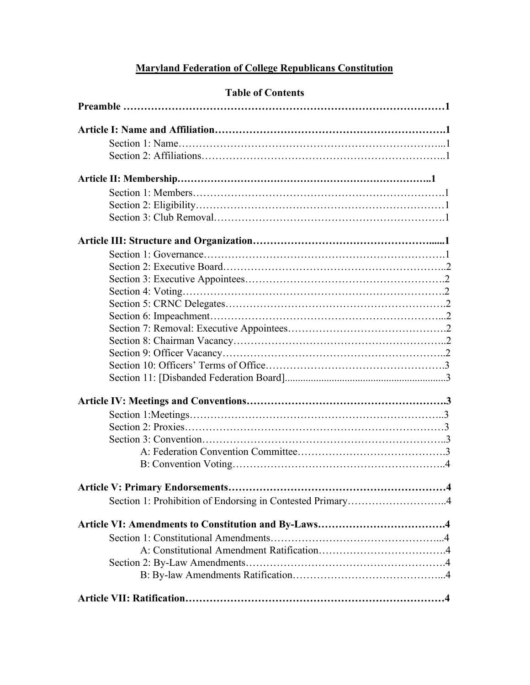# **Maryland Federation of College Republicans Constitution**

| <b>Table of Contents</b>                                  |
|-----------------------------------------------------------|
|                                                           |
|                                                           |
|                                                           |
|                                                           |
|                                                           |
|                                                           |
|                                                           |
|                                                           |
|                                                           |
|                                                           |
|                                                           |
|                                                           |
|                                                           |
|                                                           |
|                                                           |
|                                                           |
|                                                           |
|                                                           |
|                                                           |
|                                                           |
|                                                           |
|                                                           |
|                                                           |
|                                                           |
|                                                           |
|                                                           |
|                                                           |
|                                                           |
|                                                           |
| Section 1: Prohibition of Endorsing in Contested Primary4 |
|                                                           |
|                                                           |
|                                                           |
|                                                           |
|                                                           |
|                                                           |

# **Table of Contents**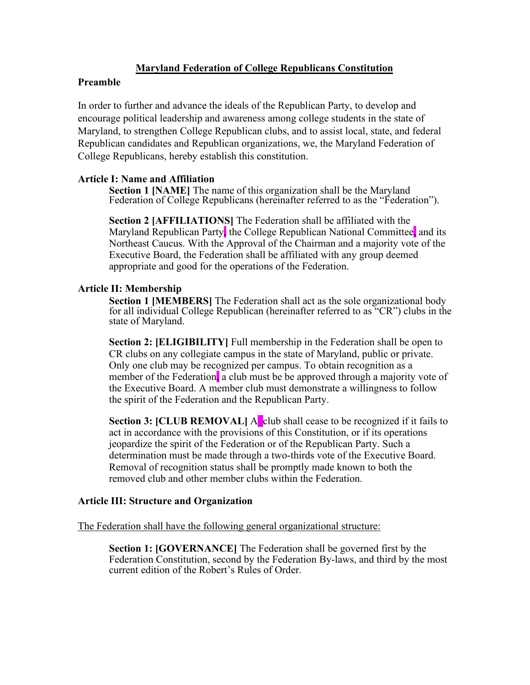# **Maryland Federation of College Republicans Constitution**

# **Preamble**

In order to further and advance the ideals of the Republican Party, to develop and encourage political leadership and awareness among college students in the state of Maryland, to strengthen College Republican clubs, and to assist local, state, and federal Republican candidates and Republican organizations, we, the Maryland Federation of College Republicans, hereby establish this constitution.

**Article I: Name and Affiliation** Federation of College Republicans (hereinafter referred to as the "Federation").

**Section 2 [AFFILIATIONS]** The Federation shall be affiliated with the Maryland Republican Party, the College Republican National Committee, and its Northeast Caucus. With the Approval of the Chairman and a majority vote of the Executive Board, the Federation shall be affiliated with any group deemed appropriate and good for the operations of the Federation.

## **Article II: Membership**

**Section 1 [MEMBERS]** The Federation shall act as the sole organizational body for all individual College Republican (hereinafter referred to as "CR") clubs in the state of Maryland.

**Section 2: [ELIGIBILITY]** Full membership in the Federation shall be open to CR clubs on any collegiate campus in the state of Maryland, public or private. Only one club may be recognized per campus. To obtain recognition as a member of the Federation, a club must be be approved through a majority vote of the Executive Board. A member club must demonstrate a willingness to follow the spirit of the Federation and the Republican Party.

**Section 3: [CLUB REMOVAL]** A club shall cease to be recognized if it fails to act in accordance with the provisions of this Constitution, or if its operations jeopardize the spirit of the Federation or of the Republican Party. Such a determination must be made through a two-thirds vote of the Executive Board. Removal of recognition status shall be promptly made known to both the removed club and other member clubs within the Federation.

# **Article III: Structure and Organization**

The Federation shall have the following general organizational structure:

**Section 1: [GOVERNANCE]** The Federation shall be governed first by the Federation Constitution, second by the Federation By-laws, and third by the most current edition of the Robert's Rules of Order.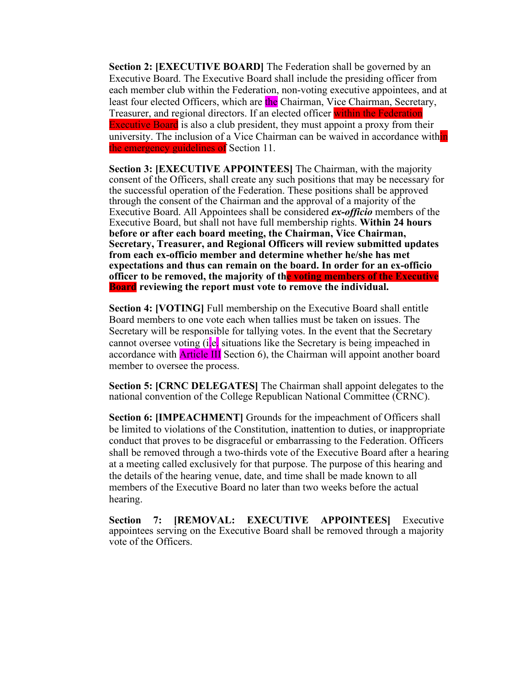**Section 2: [EXECUTIVE BOARD]** The Federation shall be governed by an Executive Board. The Executive Board shall include the presiding officer from each member club within the Federation, non-voting executive appointees, and at least four elected Officers, which are the Chairman, Vice Chairman, Secretary, Treasurer, and regional directors. If an elected officer within the Federation Executive Board is also a club president, they must appoint a proxy from their university. The inclusion of a Vice Chairman can be waived in accordance within the emergency guidelines of Section 11.

**Section 3: [EXECUTIVE APPOINTEES]** The Chairman, with the majority consent of the Officers, shall create any such positions that may be necessary for the successful operation of the Federation. These positions shall be approved through the consent of the Chairman and the approval of a majority of the Executive Board. All Appointees shall be considered *exofficio* members of the Executive Board, but shall not have full membership rights. **Within 24 hours before or after each board meeting, the Chairman, Vice Chairman, Secretary, Treasurer, and Regional Officers will review submitted updates**  from each ex-officio member and determine whether he/she has met expectations and thus can remain on the board. In order for an ex-officio **officer to be removed, the majority of the voting members of the Executive Board reviewing the report must vote to remove the individual.**

**Section 4: [VOTING]** Full membership on the Executive Board shall entitle Board members to one vote each when tallies must be taken on issues. The Secretary will be responsible for tallying votes. In the event that the Secretary cannot oversee voting  $(i.e.,$  situations like the Secretary is being impeached in accordance with Article III Section 6), the Chairman will appoint another board member to oversee the process.

**Section 5: [CRNC DELEGATES]** The Chairman shall appoint delegates to the national convention of the College Republican National Committee (CRNC).

**Section 6: [IMPEACHMENT]** Grounds for the impeachment of Officers shall be limited to violations of the Constitution, inattention to duties, or inappropriate conduct that proves to be disgraceful or embarrassing to the Federation. Officers shall be removed through a two-thirds vote of the Executive Board after a hearing at a meeting called exclusively for that purpose. The purpose of this hearing and the details of the hearing venue, date, and time shall be made known to all members of the Executive Board no later than two weeks before the actual hearing.

**Section 7: [REMOVAL: EXECUTIVE APPOINTEES]** Executive appointees serving on the Executive Board shall be removed through a majority vote of the Officers.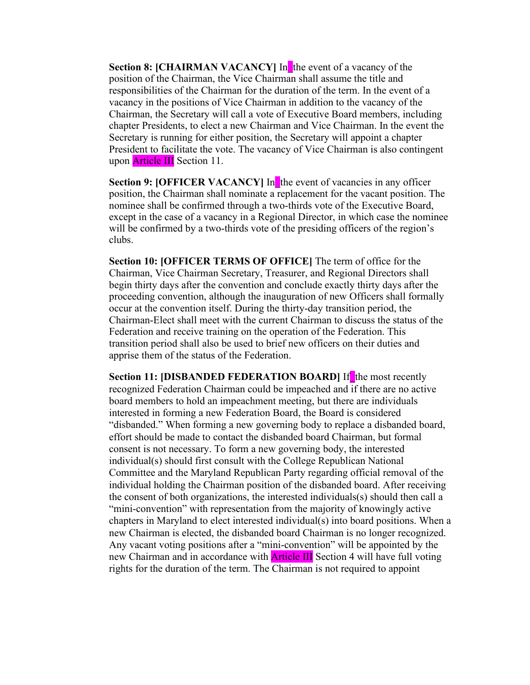**Section 8: [CHAIRMAN VACANCY]** In the event of a vacancy of the position of the Chairman, the Vice Chairman shall assume the title and responsibilities of the Chairman for the duration of the term. In the event of a vacancy in the positions of Vice Chairman in addition to the vacancy of the Chairman, the Secretary will call a vote of Executive Board members, including chapter Presidents, to elect a new Chairman and Vice Chairman. In the event the Secretary is running for either position, the Secretary will appoint a chapter President to facilitate the vote. The vacancy of Vice Chairman is also contingent upon **Article III** Section 11.

**Section 9: [OFFICER VACANCY]** In the event of vacancies in any officer position, the Chairman shall nominate a replacement for the vacant position. The nominee shall be confirmed through a two-thirds vote of the Executive Board, except in the case of a vacancy in a Regional Director, in which case the nominee will be confirmed by a two-thirds vote of the presiding officers of the region's clubs.

**Section 10: [OFFICER TERMS OF OFFICE]** The term of office for the Chairman, Vice Chairman Secretary, Treasurer, and Regional Directors shall begin thirty days after the convention and conclude exactly thirty days after the proceeding convention, although the inauguration of new Officers shall formally occur at the convention itself. During the thirty-day transition period, the Chairman-Elect shall meet with the current Chairman to discuss the status of the Federation and receive training on the operation of the Federation. This transition period shall also be used to brief new officers on their duties and apprise them of the status of the Federation.

**Section 11: [DISBANDED FEDERATION BOARD] If** the most recently recognized Federation Chairman could be impeached and if there are no active board members to hold an impeachment meeting, but there are individuals interested in forming a new Federation Board, the Board is considered "disbanded." When forming a new governing body to replace a disbanded board, effort should be made to contact the disbanded board Chairman, but formal consent is not necessary. To form a new governing body, the interested individual(s) should first consult with the College Republican National Committee and the Maryland Republican Party regarding official removal of the individual holding the Chairman position of the disbanded board. After receiving the consent of both organizations, the interested individuals(s) should then call a "mini-convention" with representation from the majority of knowingly active chapters in Maryland to elect interested individual(s) into board positions. When a new Chairman is elected, the disbanded board Chairman is no longer recognized. Any vacant voting positions after a "mini-convention" will be appointed by the new Chairman and in accordance with **Article III** Section 4 will have full voting rights for the duration of the term. The Chairman is not required to appoint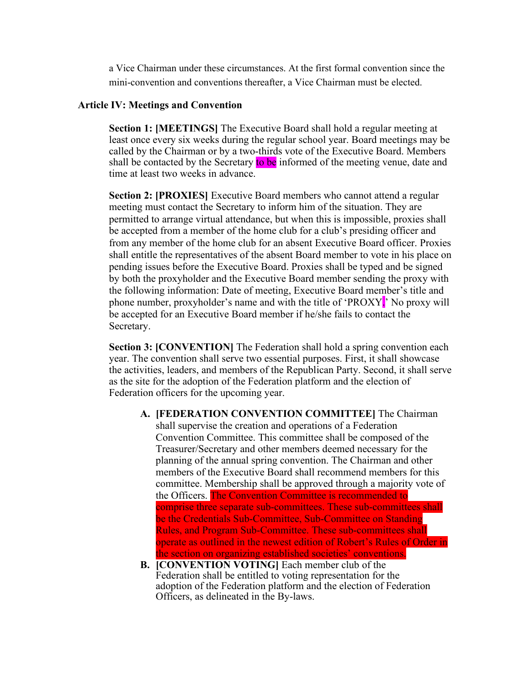a Vice Chairman under these circumstances. At the first formal convention since the mini-convention and conventions thereafter, a Vice Chairman must be elected.

#### **Article IV: Meetings and Convention**

**Section 1: [MEETINGS]** The Executive Board shall hold a regular meeting at least once every six weeks during the regular school year. Board meetings may be called by the Chairman or by a two-thirds vote of the Executive Board. Members shall be contacted by the Secretary to be informed of the meeting venue, date and time at least two weeks in advance.

**Section 2: [PROXIES]** Executive Board members who cannot attend a regular meeting must contact the Secretary to inform him of the situation. They are permitted to arrange virtual attendance, but when this is impossible, proxies shall be accepted from a member of the home club for a club's presiding officer and from any member of the home club for an absent Executive Board officer. Proxies shall entitle the representatives of the absent Board member to vote in his place on pending issues before the Executive Board. Proxies shall be typed and be signed by both the proxyholder and the Executive Board member sending the proxy with the following information: Date of meeting, Executive Board member's title and phone number, proxyholder's name and with the title of 'PROXY.' No proxy will be accepted for an Executive Board member if he/she fails to contact the Secretary.

**Section 3: [CONVENTION]** The Federation shall hold a spring convention each year. The convention shall serve two essential purposes. First, it shall showcase the activities, leaders, and members of the Republican Party. Second, it shall serve as the site for the adoption of the Federation platform and the election of Federation officers for the upcoming year.

- **A. [FEDERATION CONVENTION COMMITTEE]** The Chairman shall supervise the creation and operations of a Federation Convention Committee. This committee shall be composed of the Treasurer/Secretary and other members deemed necessary for the planning of the annual spring convention. The Chairman and other members of the Executive Board shall recommend members for this committee. Membership shall be approved through a majority vote of the Officers. The Convention Committee is recommended to comprise three separate sub-committees. These sub-committees shall be the Credentials Sub-Committee, Sub-Committee on Standing Rules, and Program Sub-Committee. These sub-committees shall operate as outlined in the newest edition of Robert's Rules of Order in the section on organizing established societies' conventions.
- **B. [CONVENTION VOTING]** Each member club of the Federation shall be entitled to voting representation for the adoption of the Federation platform and the election of Federation Officers, as delineated in the By-laws.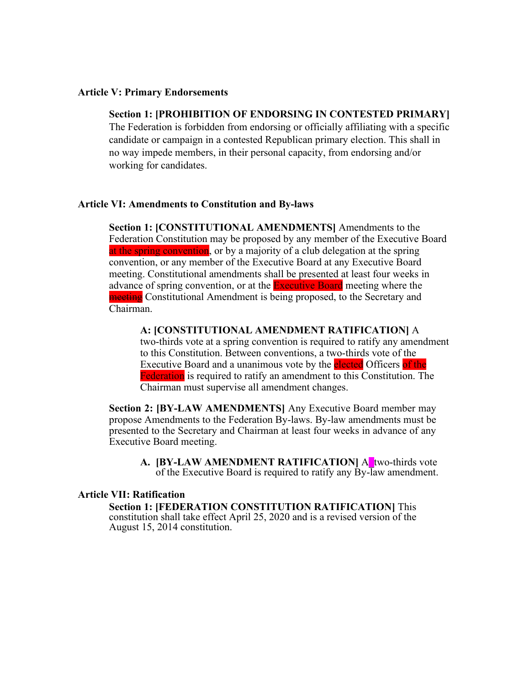#### **Article V: Primary Endorsements**

# **Section 1: [PROHIBITION OF ENDORSING IN CONTESTED PRIMARY]**

The Federation is forbidden from endorsing or officially affiliating with a specific candidate or campaign in a contested Republican primary election. This shall in no way impede members, in their personal capacity, from endorsing and/or working for candidates.

#### **Article VI: Amendments to Constitution and By-laws**

**Section 1: [CONSTITUTIONAL AMENDMENTS]** Amendments to the Federation Constitution may be proposed by any member of the Executive Board at the spring convention, or by a majority of a club delegation at the spring convention, or any member of the Executive Board at any Executive Board meeting. Constitutional amendments shall be presented at least four weeks in advance of spring convention, or at the **Executive Board** meeting where the meeting Constitutional Amendment is being proposed, to the Secretary and Chairman.

**A: [CONSTITUTIONAL AMENDMENT RATIFICATION]** A two-thirds vote at a spring convention is required to ratify any amendment to this Constitution. Between conventions, a two-thirds vote of the Executive Board and a unanimous vote by the **elected** Officers of the Federation is required to ratify an amendment to this Constitution. The Chairman must supervise all amendment changes.

**Section 2: [BY-LAW AMENDMENTS]** Any Executive Board member may propose Amendments to the Federation By-laws. By-law amendments must be presented to the Secretary and Chairman at least four weeks in advance of any Executive Board meeting.

A. **[BY-LAW AMENDMENT RATIFICATION]** A two-thirds vote of the Executive Board is required to ratify any  $\overline{B}v$ -law amendment.

#### **Article VII: Ratification**

**Section 1: [FEDERATION CONSTITUTION RATIFICATION]** This constitution shall take effect April 25, 2020 and is a revised version of the August 15, 2014 constitution.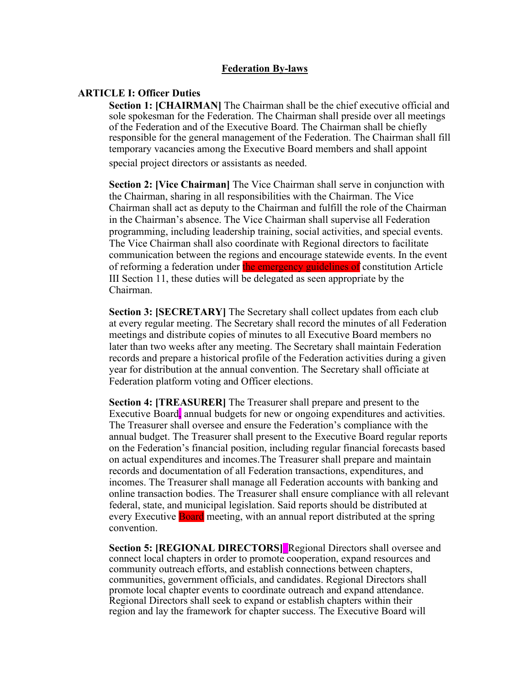### **Federation By-laws**

#### **ARTICLE I: Officer Duties**

**Section 1: [CHAIRMAN]** The Chairman shall be the chief executive official and sole spokesman for the Federation. The Chairman shall preside over all meetings of the Federation and of the Executive Board. The Chairman shall be chiefly responsible for the general management of the Federation. The Chairman shall fill temporary vacancies among the Executive Board members and shall appoint special project directors or assistants as needed.

**Section 2: [Vice Chairman]** The Vice Chairman shall serve in conjunction with the Chairman, sharing in all responsibilities with the Chairman. The Vice Chairman shall act as deputy to the Chairman and fulfill the role of the Chairman in the Chairman's absence. The Vice Chairman shall supervise all Federation programming, including leadership training, social activities, and special events. The Vice Chairman shall also coordinate with Regional directors to facilitate communication between the regions and encourage statewide events. In the event of reforming a federation under the emergency guidelines of constitution Article III Section 11, these duties will be delegated as seen appropriate by the Chairman.

**Section 3: [SECRETARY]** The Secretary shall collect updates from each club at every regular meeting. The Secretary shall record the minutes of all Federation meetings and distribute copies of minutes to all Executive Board members no later than two weeks after any meeting. The Secretary shall maintain Federation records and prepare a historical profile of the Federation activities during a given year for distribution at the annual convention. The Secretary shall officiate at Federation platform voting and Officer elections.

**Section 4: [TREASURER]** The Treasurer shall prepare and present to the Executive Board, annual budgets for new or ongoing expenditures and activities. The Treasurer shall oversee and ensure the Federation's compliance with the annual budget. The Treasurer shall present to the Executive Board regular reports on the Federation's financial position, including regular financial forecasts based on actual expenditures and incomes.The Treasurer shall prepare and maintain records and documentation of all Federation transactions, expenditures, and incomes. The Treasurer shall manage all Federation accounts with banking and online transaction bodies. The Treasurer shall ensure compliance with all relevant federal, state, and municipal legislation. Said reports should be distributed at every Executive Board meeting, with an annual report distributed at the spring convention.

**Section 5: [REGIONAL DIRECTORS]** Regional Directors shall oversee and connect local chapters in order to promote cooperation, expand resources and community outreach efforts, and establish connections between chapters, communities, government officials, and candidates. Regional Directors shall promote local chapter events to coordinate outreach and expand attendance. Regional Directors shall seek to expand or establish chapters within their region and lay the framework for chapter success. The Executive Board will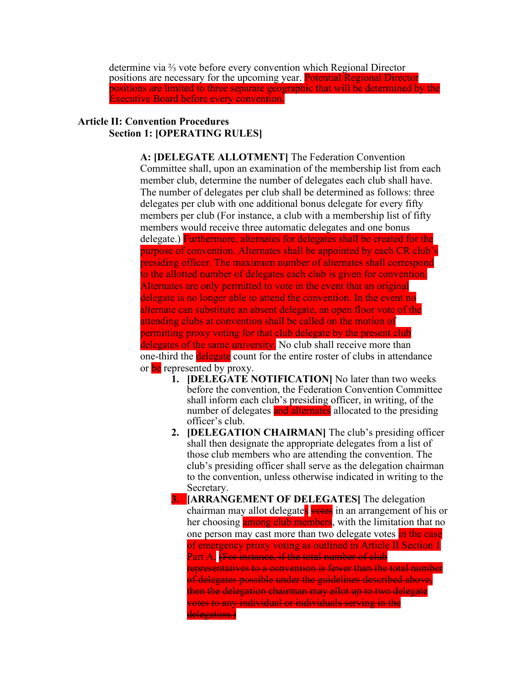determine via ⅔ vote before every convention which Regional Director positions are necessary for the upcoming year. Potential Regional Director positions are limited to three separate geographic that will be determined by the Executive Board before every convention.

# **Article II: Convention Procedures Section 1: [OPERATING RULES]**

**A: [DELEGATE ALLOTMENT]** The Federation Convention Committee shall, upon an examination of the membership list from each member club, determine the number of delegates each club shall have. The number of delegates per club shall be determined as follows: three delegates per club with one additional bonus delegate for every fifty members per club (For instance, a club with a membership list of fifty members would receive three automatic delegates and one bonus delegate.) Furthermore, alternates for delegates shall be created for the purpose of convention. Alternates shall be appointed by each CR club's presiding officer. The maximum number of alternates shall correspond to the allotted number of delegates each club is given for convention. Alternates are only permitted to vote in the event that an original delegate is no longer able to attend the convention. In the event no alternate can substitute an absent delegate, an open floor vote of the attending clubs at convention shall be called on the motion of permitting proxy voting for that club delegate by the present club delegates of the same university. No club shall receive more than one-third the **delegate** count for the entire roster of clubs in attendance or be represented by proxy.

- **1. [DELEGATE NOTIFICATION]** No later than two weeks before the convention, the Federation Convention Committee shall inform each club's presiding officer, in writing, of the number of delegates and alternates allocated to the presiding officer's club.
- **2. [DELEGATION CHAIRMAN]** The club's presiding officer shall then designate the appropriate delegates from a list of those club members who are attending the convention. The club's presiding officer shall serve as the delegation chairman to the convention, unless otherwise indicated in writing to the Secretary.
- **3. [ARRANGEMENT OF DELEGATES]** The delegation chairman may allot delegates votes in an arrangement of his or her choosing among club members, with the limitation that no one person may cast more than two delegate votes in the case of emergency proxy voting as outlined in Article II Section 1 Part A. (For instance, if the total number of club representatives to a convention is fewer than the total number of delegates possible under the guidelines described above, then the delegation chairman may allot up to two delegate votes to any individual or individuals serving in the delegation.)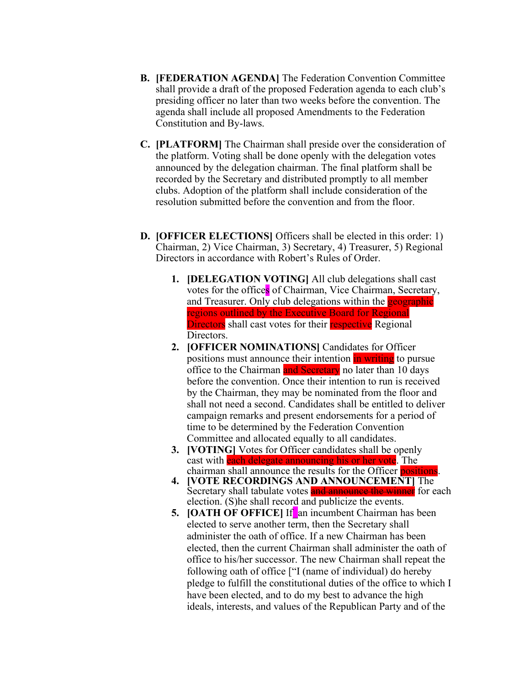- **B. [FEDERATION AGENDA]** The Federation Convention Committee shall provide a draft of the proposed Federation agenda to each club's presiding officer no later than two weeks before the convention. The agenda shall include all proposed Amendments to the Federation Constitution and By-laws.
- **C. [PLATFORM]** The Chairman shall preside over the consideration of the platform. Voting shall be done openly with the delegation votes announced by the delegation chairman. The final platform shall be recorded by the Secretary and distributed promptly to all member clubs. Adoption of the platform shall include consideration of the resolution submitted before the convention and from the floor.
- **D. [OFFICER ELECTIONS]** Officers shall be elected in this order: 1) Chairman, 2) Vice Chairman, 3) Secretary, 4) Treasurer, 5) Regional Directors in accordance with Robert's Rules of Order.
	- **1. [DELEGATION VOTING]** All club delegations shall cast votes for the offices of Chairman, Vice Chairman, Secretary, and Treasurer. Only club delegations within the **geographic** regions outlined by the Executive Board for Regional Directors shall cast votes for their respective Regional Directors.
	- **2. [OFFICER NOMINATIONS]** Candidates for Officer positions must announce their intention in writing to pursue office to the Chairman and Secretary no later than 10 days before the convention. Once their intention to run is received by the Chairman, they may be nominated from the floor and shall not need a second. Candidates shall be entitled to deliver campaign remarks and present endorsements for a period of time to be determined by the Federation Convention Committee and allocated equally to all candidates.
	- **3. [VOTING]** Votes for Officer candidates shall be openly cast with each delegate announcing his or her vote. The chairman shall announce the results for the Officer positions.
	- **4. [VOTE RECORDINGS AND ANNOUNCEMENT]** The Secretary shall tabulate votes and announce the winner for each election. (S)he shall record and publicize the events.
	- **5. [OATH OF OFFICE]** If an incumbent Chairman has been elected to serve another term, then the Secretary shall administer the oath of office. If a new Chairman has been elected, then the current Chairman shall administer the oath of office to his/her successor. The new Chairman shall repeat the following oath of office ["I (name of individual) do hereby pledge to fulfill the constitutional duties of the office to which I have been elected, and to do my best to advance the high ideals, interests, and values of the Republican Party and of the